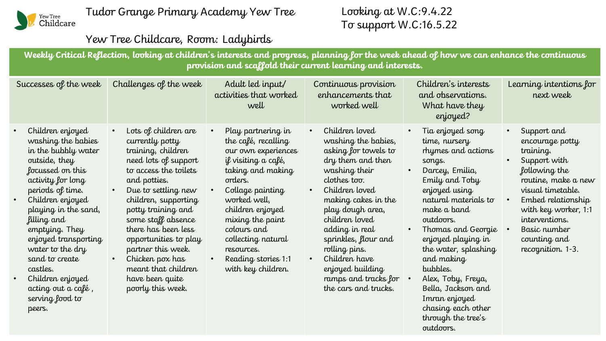

## Looking at W.C:9.4.22 To support W.C:16.5.22

outdoors.

## Yew Tree Childcare, Room: Ladybirds

**Weekly Critical Reflection, looking at children's interests and progress, planning for the week ahead of how we can enhance the continuous provision and scaffold their current learning and interests.**

| Successes of the week                                                                                                                                                                                                                                                                                                                                                      | Challenges of the week                                                                                                                                                                                                                                                                                                                                                                         | Adult led input/<br>activities that worked<br>well                                                                                                                                                                                                                                                  | Continuous provision<br>enhancements that<br>worked well                                                                                                                                                                                                                                                                                           | Children's interests<br>and observations.<br>What have they<br>enjoyed?                                                                                                                                                                                                                                                                                                                                                   | Learning intentions for<br>next week                                                                                                                                                                                                          |
|----------------------------------------------------------------------------------------------------------------------------------------------------------------------------------------------------------------------------------------------------------------------------------------------------------------------------------------------------------------------------|------------------------------------------------------------------------------------------------------------------------------------------------------------------------------------------------------------------------------------------------------------------------------------------------------------------------------------------------------------------------------------------------|-----------------------------------------------------------------------------------------------------------------------------------------------------------------------------------------------------------------------------------------------------------------------------------------------------|----------------------------------------------------------------------------------------------------------------------------------------------------------------------------------------------------------------------------------------------------------------------------------------------------------------------------------------------------|---------------------------------------------------------------------------------------------------------------------------------------------------------------------------------------------------------------------------------------------------------------------------------------------------------------------------------------------------------------------------------------------------------------------------|-----------------------------------------------------------------------------------------------------------------------------------------------------------------------------------------------------------------------------------------------|
| Children enjoyed<br>washing the babies<br>in the bubbly water<br>outside, they<br>focussed on this<br>activity for long<br>periods of time.<br>Children enjoyed<br>playing in the sand,<br>filling and<br>emptying. They<br>enjoyed transporting<br>water to the dry<br>sand to create<br>castles.<br>Children enjoyed<br>acting out a café ,<br>serving food to<br>peers. | Lots of children are<br>currently potty<br>training, children<br>need lots of support<br>to access the toilets<br>and potties.<br>Due to settling new<br>children, supporting<br>potty training and<br>some staff absence<br>there has been less<br>opportunities to play<br>partner this week.<br>Chicken pox has<br>$\bullet$<br>meant that children<br>have been quite<br>poorly this week. | Play partnering in<br>the café, recalling<br>our own experiences<br>if visiting a café,<br>taking and making<br>orders.<br>Collage painting<br>worked well,<br>children enjoyed<br>mixing the paint<br>colours and<br>collecting natural<br>resources.<br>Reading stories 1:1<br>with key children. | Children loved<br>washing the babies,<br>asking for towels to<br>dry them and then<br>washing their<br>clothes too.<br>Children loved<br>making cakes in the<br>play dough area,<br>children loved<br>adding in real<br>sprinkles, flour and<br>rolling pins.<br>Children have<br>enjoyed building<br>ramps and tracks for<br>the cars and trucks. | Tia enjoyed song<br>$\bullet$<br>time, nursery<br>rhymes and actions<br>songs.<br>Darcey, Emilia,<br>$\bullet$<br>Emily and Toby<br>enjoyed using<br>natural materials to<br>make a band<br>outdoors.<br>Thomas and Georgie<br>$\bullet$<br>enjoyed playing in<br>the water, splashing<br>and making<br>bubbles.<br>Alex, Toby, Freya,<br>Bella, Jackson and<br>Imran enjoyed<br>chasing each other<br>through the tree's | Support and<br>encourage potty<br>training.<br>Support with<br>following the<br>routine, make a new<br>visual timetable.<br>Embed relationship<br>with key worker, 1:1<br>interventions.<br>Basic number<br>counting and<br>recognition. 1-3. |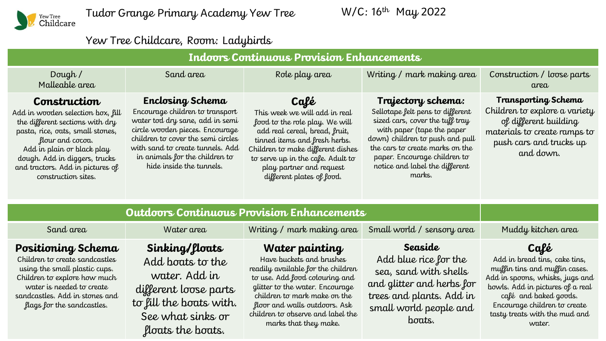

Tudor Grange Primary Academy Yew Tree

W/C: 16<sup>th</sup> May 2022

## Yew Tree Childcare, Room: Ladybirds

| Dough /<br>Malleable area                                                                                                                                                                                                                                              | Sand area                                                                                                                                                                                                                                                         | Role play area                                                                                                                                                                                                                                                                       | Writing / mark making area                                                                                                                                                                                                                                                | Construction / loose parts<br>area                                                                                                                                                                                                                |  |
|------------------------------------------------------------------------------------------------------------------------------------------------------------------------------------------------------------------------------------------------------------------------|-------------------------------------------------------------------------------------------------------------------------------------------------------------------------------------------------------------------------------------------------------------------|--------------------------------------------------------------------------------------------------------------------------------------------------------------------------------------------------------------------------------------------------------------------------------------|---------------------------------------------------------------------------------------------------------------------------------------------------------------------------------------------------------------------------------------------------------------------------|---------------------------------------------------------------------------------------------------------------------------------------------------------------------------------------------------------------------------------------------------|--|
| Construction<br>Add in wooden selection box, fill<br>the different sections with dry<br>pasta, rice, oats, small stones,<br>flour and cocoa.<br>Add in plain or black play<br>dough. Add in diggers, trucks<br>and tractors. Add in pictures of<br>construction sites. | Enclosing Schema<br>Encourage children to transport<br>water tod dry sane, add in semi<br>circle wooden pieces. Encourage<br>children to cover the semi circles<br>with sand to create tunnels. Add<br>in animals for the children to<br>hide inside the tunnels. | Café<br>This week we will add in real<br>food to the role play. We will<br>add real cereal, bread, fruit,<br>tinned items and fresh herbs.<br>Children to make different dishes<br>to serve up in the cafe. Adult to<br>play partner and request<br>different plates of food.        | Trajectory schema:<br>Sellotape felt pens to different<br>sized cars, cover the tuff tray<br>with paper (tape the paper<br>down) children to push and pull<br>the cars to create marks on the<br>paper. Encourage children to<br>notice and label the different<br>marks. | <b>Transporting Schema</b><br>Children to explore a variety<br>of different building<br>materials to create ramps to<br>push cars and trucks up<br>and down.                                                                                      |  |
| <b>Outdoors Continuous Provision Enhancements</b>                                                                                                                                                                                                                      |                                                                                                                                                                                                                                                                   |                                                                                                                                                                                                                                                                                      |                                                                                                                                                                                                                                                                           |                                                                                                                                                                                                                                                   |  |
| Sand area                                                                                                                                                                                                                                                              | Water area                                                                                                                                                                                                                                                        | Writing / mark making area                                                                                                                                                                                                                                                           | Small world / sensory area                                                                                                                                                                                                                                                | Muddy kitchen area                                                                                                                                                                                                                                |  |
| Positioning Schema<br>Children to create sandcastles<br>using the small plastic cups.<br>Children to explore how much<br>water is needed to create<br>sandcastles. Add in stones and<br>flags for the sandcastles.                                                     | Sinking/floats<br>Add boats to the<br>water. Add in<br>different loose parts<br>to fill the boats with.<br>See what sinks or<br>floats the boats.                                                                                                                 | Water painting<br>Have buckets and brushes<br>readily available for the children<br>to use. Add food colouring and<br>glitter to the water. Encourage<br>children to mark make on the<br>floor and walls outdoors. Ask<br>children to observe and label the<br>marks that they make. | Seaside<br>Add blue rice for the<br>sea, sand with shells<br>and glitter and herbs for<br>trees and plants. Add in<br>small world people and<br>boats.                                                                                                                    | Café<br>Add in bread tins, cake tins,<br>muffin tins and muffin cases.<br>Add in spoons, whisks, jugs and<br>bowls. Add in pictures of a real<br>café and baked goods.<br>Encourage children to create<br>tasty treats with the mud and<br>water. |  |